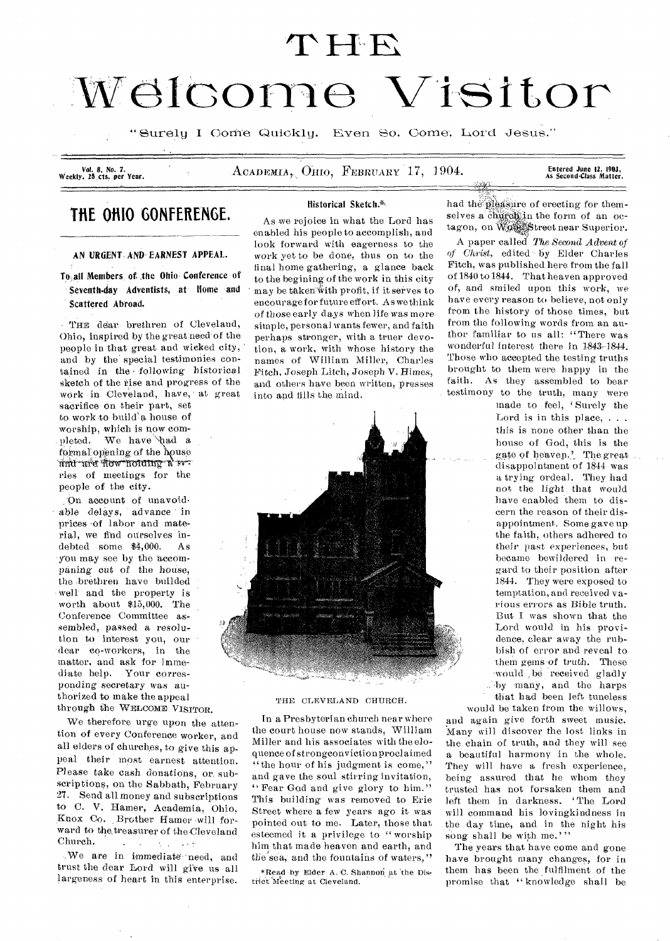# $THE$

# Welcome Visitor

"Surely I Come Quickly. Even So, Come, Lord Jesus."

Vol. *8, No. 7.* 

ACADEMIA, OHIO, FEBRUARY 17, 1904.

Entered June 12, 1903,<br>As Second-Class Matter.

# **THE OHIO GONFERENGE.**

AN URGENT. *AND* EARNEST APPEAL.

To all Members, of the Ohio Conference of Seventh-day Adventists, at Home and Scattered Abroad.

THE dear brethren of Cleveland, Ohio, inspired by the great:need' of the people in that great and wicked city, and by the special testimonies contained in the -following historical sketch of the rise and progress of the work in Cleveland, have, at great

sacrifice on their part, set to work to build'a house of worship, which is now com-. pleted. We have 'had a formal opening of the house<br>and are now holding a series of meetings for the people of the city.

On account of unavoidable delays, advance in prices of labor and material, we find ourselves in-<br>debted some \$4.000. As  $\delta$  debted some \$4,000. you may see by the accompaning cut of the house, the brethren have builded well and the property is worth about \$15,000. The Conference Committee assembled, passed a resolution to interest you, our dear co-workers, in the matter, and ask for immediate help. Your corresponding secretary was authorized to make the appeal through the WELCOME VISITOR.

We therefore urge upon the attention of every Conference worker, and all elders of churches, to give this appeal their most earnest attention. Please take cash donations, or, subscriptions, on the Sabbath, February 27. Send all money and subscriptions to- C. V. Hamer, Academia, Ohio, Knox Co. Brother Hamer will forward to the treasurer of the Cleveland<br>Church.

hurch.<br>We are in immediate need, and trust the dear Lord will give us all largeness of heart in this enterprise.

# Historical Sketch.%\\

As we rejoice in what the Lord has enabled his people to accomplish, and look forward with eagerness to the work yet to be done, thus on to the final home gathering, a glance back to the begining of the work in this city may be taken with profit, if it serves to encourage for future effort. As we think of those early days when life was more simple, personal wants fewer, and faith perhaps stronger, with a truer devotion, a work, with whose history the names of William Miller, Charles Fitch, Joseph Litch, Joseph V. Rimes, and others have been written, presses into and tills the mind.



# THE CLEVELAND CHURCH.

In a Presbyterian church near where the court house now stands, William Miller and his associates with the eloquence of strongconviction proclaimed "the hour of his judgment is come," and gave the soul stirring invitation, " Fear God and give glory to him." This building was removed to Erie Street where a few years ago it was pointed out to me. Later, those that esteemed it a privilege to " worship him that made heaven and earth, and the sea, and the fountains of waters,"

\*Read by Elder A. C. Shannon at the Distilet Meeting at Cleveland.

had the pleasure of erecting for themselves a church in the form of an octagon, on Wood Street near Superior.

A paper called *The Second Advent of*  of Christ, edited by Elder Charles Fitch, was published here from the fall of 1840 to 1844. That heaven approved of, and smiled upon this work, we have every reason to believe, not only from the history of those times, but from the following words from an author familiar to us all: "There was wonderful interest there in 1843-1844. Those who accepted the testing truths brought to them were happy in the faith. As they assembled to bear testimony to the truth, many were

made to feel, 'Surely the Lord is in this place,  $\ldots$ this is none other than the house of God, this is the gate of heaven.' The great disappointment of 1844 was a trying ordeal. They had not the light that would have enabled them to discern the reason of their disappointment. Some gave up the faith, others adhered to their past experiences, but became bewildered in regard to their position after 1844. They were exposed to temptation, and received various errors as Bible truth. But I was shown that the Lord would in his providence, clear away the rubbish of error and reveal to them gems-of truth. These -would ,be received gladly by many, and the harps that had been left tuneless

would be taken from the willows, and again give forth sweet music. Many will discover the lost links in the chain of truth, and they will see a beautiful harmony in the whole. They will have a fresh experience. being assured that he whom they trusted has not forsaken them and left them in darkness. 'The Lord will command his lovingkindness in the day time, and in the night his song shall be with me.'''

The years that have come and gone have brought many changes, for in them has been the fulfilment of the promise that "knowledge shall be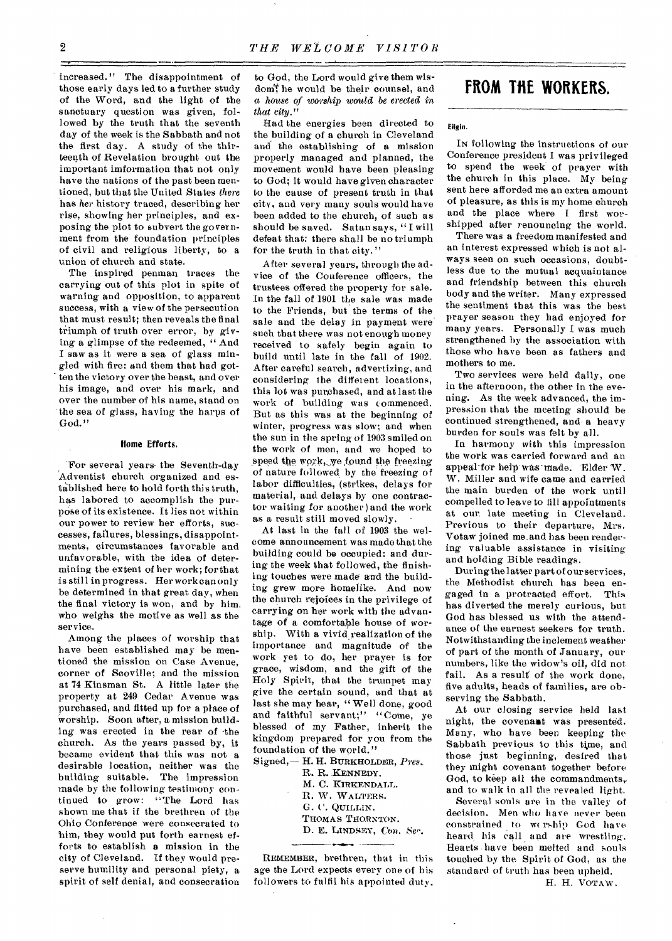increased." The disappointment of those early days led to a further study of the Word, and the light of the sanctuary question was given, followed by the truth that the seventh day of the week is the Sabbath and not the first day. A study of the thirteenth of Revelation brought out the important imformation that not only have the nations of the past been mentioned, but that the United States *there*  has *her* history traced, describing her rise, showing her principles, and exposing the plot to subvert the government from the foundation principles of civil and religious liberty, to a union of church and state.

The inspired penman traces the carrying out of this plot in spite of warning and opposition, to apparent success, with a view of the persecution that must result; then reveals the final triumph of truth over error, by giving a glimpse of the redeemed, " And I saw as it were a sea of glass mingled with fire: and them that had gotten the victory over the beast, and over his image, and over his mark, and over the number of his name, stand on the sea of glass, having the harps of God."

# Home Efforts.

For several years- the Seventh-day Adventist church organized and established here to hold forth this truth, has labored to accomplish the purpose of its existence. It lies not within our power to review her efforts, successes, failures, blessings, disappointments, circumstances favorable and unfavorable, with the idea of determining the extent of her work; forthat is still in progress. Her work can only be determined in that great day, when the final victory is won, and by him, who weighs the motive as well as the service.

Among the places of worship that have been established may be mentioned the mission on Case Avenue, corner of Scoville; and the mission at '74 Kinsman St. A little later the property at 249 Cedar Avenue was purchased, and fitted up for a place of worship. Soon after, a mission building was erected in the rear of •the church. As the years passed by, it became evident that this was not a desirable location, neither was the building suitable. The impression made by the following testimony continued to grow: "The Lord has shown me that if the brethren of the Ohio Conference were consecrated to him, they would put forth earnest efforts to establish a mission in the city of Cleveland. If they would preserve humility and personal piety, a spirit of self denial, and consecration

to God, the Lord would give them wisdom<sup>\*</sup> he would be their counsel, and a *house of worship would be erected in that city."* 

Had the energies been directed to the building of a church in Cleveland and the establishing of a mission properly managed and planned, the movement would have been pleasing to God; it would have given character to the cause of present truth in that city, and very many souls would have been added to the church, of such as should be saved. Satan says, " I will defeat that: there shall be no triumph for the truth in that city."

After several years, through the advice of the Conference officers, the trustees offered the property for sale. In the fall of 1901 the sale was made to the Friends, but the terms of the sale and the delay in payment were such that there was not enough money received to safely begin again to build until late in the fall of 1902. After careful search, advertizing, and considering the different locations, this lot was purchased, and at last the work of building was commenced. But as this was at the beginning of winter, progress was slow; and when the sun in the spring of 1903 smiled on the work of men, and we hoped to speed the work, we found the freezing of nature followed by the freezing of labor difficulties, (strikes, delays for material, and delays by one contractor waiting for another) and the work as a result still moved slowly.

At last in the fall of 1903 the welcome announcement was made that the building could be occupied: and during the week that followed, the finishing touches were made and the building grew more homelike. And now the church rejoices in the privilege of carrying on her work with the advantage of a comfortable house of worship. With a vivid realization of the importance and magnitude of the work yet to do, her prayer is for grace, wisdom, and the gift of the Holy Spirit, that the trumpet may give the certain sound, and that at last she may hear, "Well done, good and faithful servant;" "Come, ye blessed of my Father, inherit the kingdom prepared for you from the foundation of the world."

Signed,— H. H. BURKHOLDER, *Pres..* 

R. R. KENNEDY.

- M. C. KIRKENDALL.
- B. W. WALTERS.
- G. C. QUILLIN.
- THOMAS THORNTON.
- D. E. LINDSEY, Con. Ser.

REMEMBER, brethren, that in this age the Lord expects every one of his followers to fulfil his appointed duty.

# **FROM THE WORKERS.**

### Eilgin.

*IN* following the instructions of our Conference president I was privileged to spend the week of prayer with the church in this place. My being sent here afforded me an extra amount of pleasure, as this is my home church and the place where I first worshipped after renouncing the world.

There was a freedom manifested and an interest expressed which is not always seen on such occasions, doubtless due to the mutual acquaintance and friendship between this church body and the writer. Many expressed the sentiment that this was the best prayer season they had enjoyed for many years. Personally I was much strengthened by the association with those who have been as fathers and mothers to me.

Two services were held daily, one in the afternoon, the other in the evening. As the week advanced, the impression that the meeting should be continued strengthened, and- a heavy burden for souls was felt by all.

In harmony with this impression the work was carried forward and an appeal for help was-made. Elder W. W. Miller and wife came and carried the main burden of the work until compelled to leave to fill appointments at our, late meeting in Cleveland. Previous to their departure, Mrs. Votaw joined me.and has been rendering valuable assistance in visiting and holding Bible readings.

During the latter part of our services, the Methodist church has been engaged in a protracted effort. This has diverted the merely curious, but God has blessed us with the attendance of the earnest seekers for truth. Notwithstanding the inclement weather of part of the month of January, our numbers, like the widow's oil, did not fail. As a result of the work done, five adults, heads of families, are observing the Sabbath.

At our closing service held last night, the covenant was presented. Many, who have been keeping the Sabbath previous to this time, and those just beginning, desired that they might covenant together before God, to keep all the commandments, and to walk in all the revealed light.

Several souls are in the valley of decision. Men who have never been constrained to wership God have heard his call and *are* wrestling. Hearts have been melted and souls touched by the Spirit of God, as the standard of truth has been upheld. H. H. VoTAW.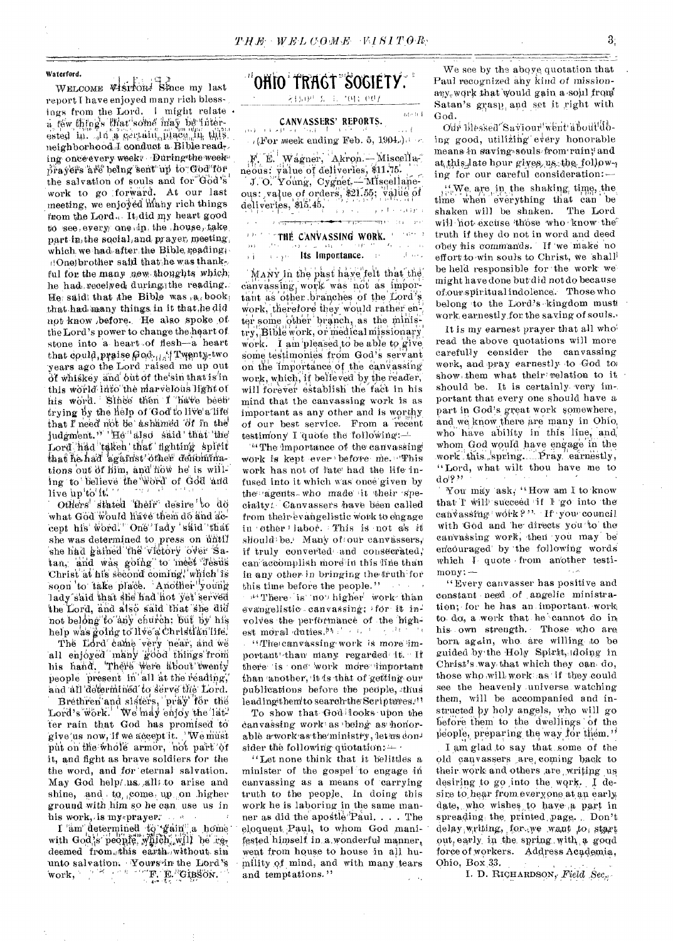## Waterford.

WELCOME VISITOR: Since my last report I have enjoyed many rich blessings from the Lord. I might relate. a féw things that some may be interested in. In a german may be interneighborhood. I conduct a Bible read. ing once every week? During the week prayers are being sent up to God for the salvation of souls and for God's work to go forward. At our last meeting, we enjoyed many rich things from the Lord. It, did my heart good to see, every one in the house, take part in the social, and prayer, meeting, which we had after the Bible reading. (One) brother said that he was thankful for the many new thoughts which. he had received during the reading. He said that the Bible was a book that had many things in it that he did not know before. He also spoke of the Lord's power to change the heart of stone into a heart of flesh-a heart that could praise God. I Twenty-two years ago the Lord raised me up out of whiskey and out of the sin that is in this world into the marvelous light of his word. Since then I have been trying by the help of God to live a life that I need not be ashamed of in the judgment." He"also said that the Lord had taken that fighting spirit that he had against other denominations out of him, and now he is willing to believe the word of God and live  $\text{up}^{\text{t}}\text{to}^{\text{t}}\text{it}^{\text{t}}$ .

Others stated their desire to do what God would have them do and accept his word." One lady said that she was determined to press on until she had gained the victory over Satan, and was going to meet Jesus Christ at his second coming, which is soon to take place. Another young lady said that she had not yet served the Lord, and also said that she did not belong to any church; but by his help was going to live a Christian life.

The Lord came very near, and we all enjoyed many good things from his hand, There were about twenty people present in all at the reading, and all determined to serve the Lord.

Brethren and sisters, pray for the Lord's work. We may enjoy the latter rain that God has promised to give us now, if we accept it. We must put on the whole armor, not part of it, and fight as brave soldiers for the the word, and for eternal salvation. May God help/.us. all to arise and shine, and to come up on higher ground with him so he can use us in his work, is mysprayer.

 $\mathbf{I}$ 'am' determined to tain'' a home with God is people, yii (ch, will be rea home deemed from this earth without sin unto salvation. Yours in the Lord's work, F.E. Gipson.

# 'OHIO' TRAGT "SOGIETY."

21500 S L TOLL 007

#### CANVASSERS' REPORTS. ده د کامل او د او دود.

 $60\cdot 0.4$ 

 $\begin{aligned} \mathcal{L}_{\text{max}}(\mathbf{x}) & = \mathcal{L}_{\text{max}} \\ & = \frac{1}{2} \log \mathcal{L}_{\text{max}} \end{aligned}$ 

 $\rightarrow$  (For week ending Feb. 5, 1904.).

F. E. Wagner, Akron. Miscellanebus: yalue of deliveries, \$11.75. J. O. Young, Cygnet, - Miscellane

ous: value of orders, \$21.55; value of deliveries, \$15.45, and the control of the

#### $\frac{1}{2}$ المعران المن المنافق المنافضة المنافسة المنافسية.<br>المعراض المنافس المنافسية في المنافسة المنافسية المنافسية المنافسية المنافسية المنافسية المنافسية المنافسية ال  $\sim$ **DETERTIBE CANVASSING WORK.** Formal

# أنحر النبر and the contract in the state of the contract of the contract of the contract of the contract of the contract of the contract of the contract of the contract of the contract of the contract of the contract of the contract

MANY in the past have felt that the canvassing, work was not as important as other branches of the Lord's work, therefore they would rather enter some other branch, as the ministry, Bible work, or medical missionary work. I am pleased to be able to give some testimonies from God's servant on the importance of the canvassing work, which, if believed by the reader, will forever establish the fact in his mind that the canvassing work is as important as any other and is worthy of our best service. From a recent testimony I quote the following: $-$ 

<sup>44</sup> The importance of the canvassing work is kept ever before me. This work has not of late had the life infused into it which was once given by the agents who made it their specialty. Canvassers have been called from their evangelistic work to engage in other labor. This is not as it should be. Many of our canvassers, if truly converted and consecrated, can accomplish more in this line than in any other in bringing the truth for this time before the people."  $-1 - 1$ 

<sup>344</sup> There is no higher work than evangelistic canvassing; for it involves the performance of the highest moral duties.  $95.1 \times 10^{-3}$  and  $10^{-1}$ 

"The canvassing work is more important than many regarded it. If there is one work more important than another, it is that of getting our publications before the people, thus leading them to search the Scriptures."

To show that God looks upon the canvassing work as being as honorable a work as the ministry, let us consider the following quotation:  $+$ 

"Let none think that it belittles a minister of the gospel to engage in canvassing as a means of carrying truth to the people. In doing this work he is laboring in the same manner as did the apostle Paul. . . . The eloquent Paul, to whom God manifested himself in a wonderful manner, went from house to house in all humility of mind, and with many tears and temptations."

We see by the above quotation that Paul recognized any kind of missionany, work that would gain a soul from Satan's grasp, and set it right with God.

en an de communes and a community of the community of the community of the community of the community of the c<br>And the community of the community of the community of the community of the community of the community of the

Odr blessed Saviour went about doing good, utilizing every honorable means in saving souls from ruin and at this late hour gives us the following for our careful consideration:-

... We are in the shaking time, the time when everything that can be shaken will be shaken. The Lord will not excuse those who know the truth if they do not in word and deed obey his commands. If we make no effort to win souls to Christ, we shall be held responsible for the work we might have done but did not do because of our spiritual indolence. Those who belong to the Lord's kingdom must work earnestly for the saving of souls.

It is my earnest prayer that all who read the above quotations will more carefully consider the canvassing work, and pray earnestly to God to show them what their relation to it should be. It is certainly very important that every one should have a part in God's great work somewhere, and we know there are many in Ohio, who have ability in this line, and whom God would have engage in the work this spring. Pray earnestly, "Lord, what wilt thou have me to  $d_0$  ?  $\rightarrow$ 

You may ask, "How am I to know that T will succeed if I go into the canvassing work?" If you council with God and he directs you to the canvassing work, then you may be encouraged by the following words which I quote from another testi $mony:$  —

"Every canvasser has positive and constant need of angelic ministration; for he has an important work to do, a work that he cannot do in his own strength. Those who are horn again, who are willing to be guided by the Holy Spirit, doing in Christ's way that which they can do, those who will work as if they could see the heavenly universe watching them, will be accompanied and instructed by holy angels, who will go before them to the dwellings of the people, preparing the way for them."

I am glad to say that some of the old canvassers are coming back to their work and others are writing us desiring to go into the work. I desire to hear from everyone at an early date, who wishes to have a part in spreading the printed page. Don't delay writing, for we want to start out, early in the spring with a good force of workers. Address Academia. Ohio, Box 33.

I. D. RICHARDSON, Field Sec.